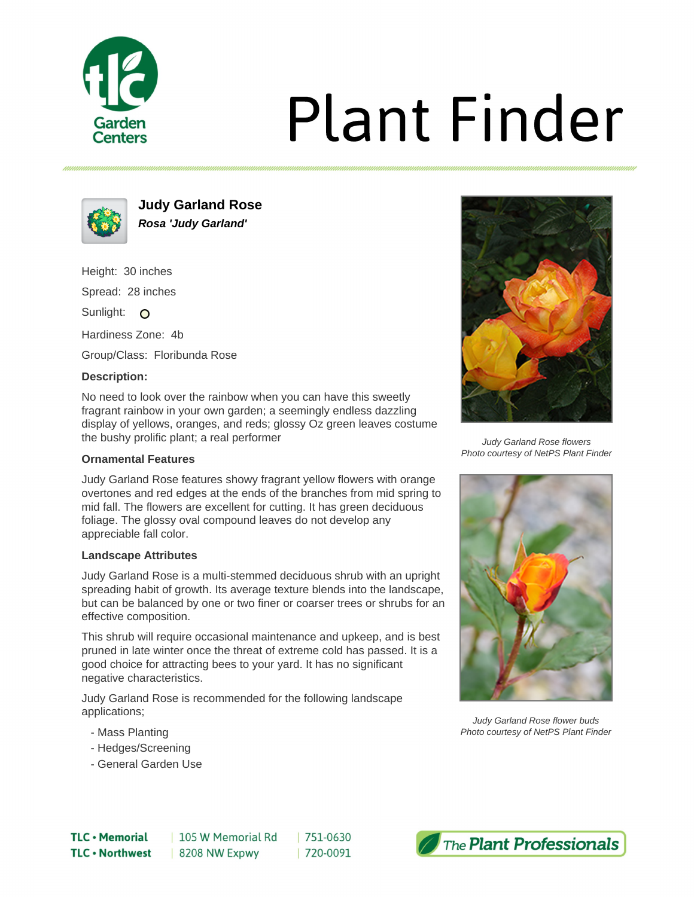

# **Plant Finder**



**Judy Garland Rose Rosa 'Judy Garland'**

Height: 30 inches Spread: 28 inches Sunlight: O

Hardiness Zone: 4b

Group/Class: Floribunda Rose

### **Description:**

No need to look over the rainbow when you can have this sweetly fragrant rainbow in your own garden; a seemingly endless dazzling display of yellows, oranges, and reds; glossy Oz green leaves costume the bushy prolific plant; a real performer

### **Ornamental Features**

Judy Garland Rose features showy fragrant yellow flowers with orange overtones and red edges at the ends of the branches from mid spring to mid fall. The flowers are excellent for cutting. It has green deciduous foliage. The glossy oval compound leaves do not develop any appreciable fall color.

### **Landscape Attributes**

Judy Garland Rose is a multi-stemmed deciduous shrub with an upright spreading habit of growth. Its average texture blends into the landscape, but can be balanced by one or two finer or coarser trees or shrubs for an effective composition.

This shrub will require occasional maintenance and upkeep, and is best pruned in late winter once the threat of extreme cold has passed. It is a good choice for attracting bees to your yard. It has no significant negative characteristics.

Judy Garland Rose is recommended for the following landscape applications;

- Mass Planting
- Hedges/Screening
- General Garden Use



Judy Garland Rose flowers Photo courtesy of NetPS Plant Finder



Judy Garland Rose flower buds Photo courtesy of NetPS Plant Finder